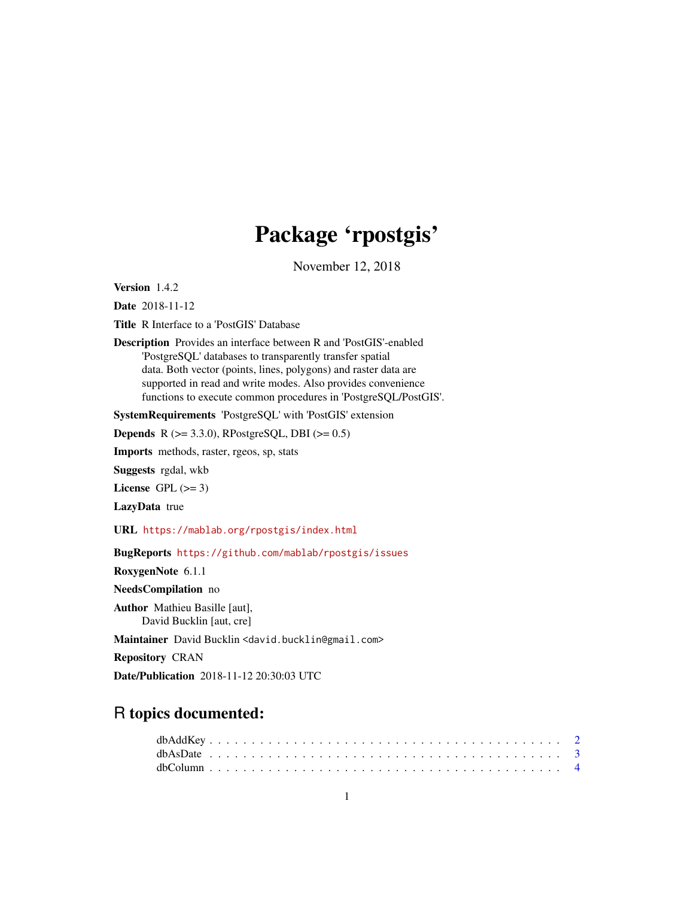## Package 'rpostgis'

November 12, 2018

<span id="page-0-0"></span>Version 1.4.2

Date 2018-11-12

Title R Interface to a 'PostGIS' Database

Description Provides an interface between R and 'PostGIS'-enabled 'PostgreSQL' databases to transparently transfer spatial data. Both vector (points, lines, polygons) and raster data are supported in read and write modes. Also provides convenience functions to execute common procedures in 'PostgreSQL/PostGIS'.

SystemRequirements 'PostgreSQL' with 'PostGIS' extension

**Depends** R ( $>= 3.3.0$ ), RPostgreSQL, DBI ( $>= 0.5$ )

Imports methods, raster, rgeos, sp, stats

Suggests rgdal, wkb

License GPL  $(>= 3)$ 

LazyData true

URL <https://mablab.org/rpostgis/index.html>

BugReports <https://github.com/mablab/rpostgis/issues>

RoxygenNote 6.1.1

NeedsCompilation no

Author Mathieu Basille [aut], David Bucklin [aut, cre]

Maintainer David Bucklin <david.bucklin@gmail.com>

Repository CRAN

Date/Publication 2018-11-12 20:30:03 UTC

## R topics documented: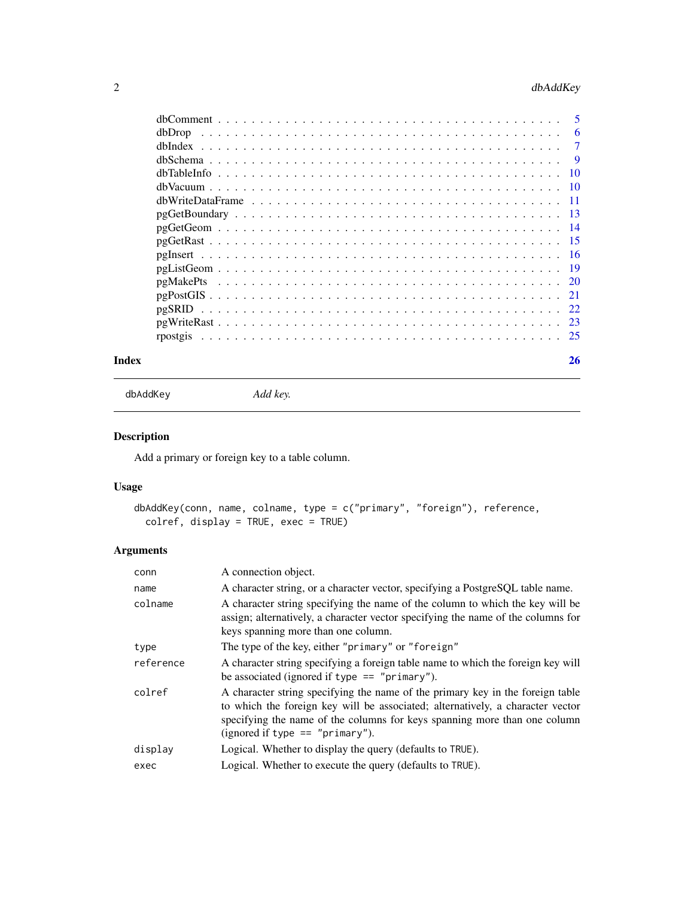## <span id="page-1-0"></span>2 dbAddKey

|                                                                                                                                | -5              |
|--------------------------------------------------------------------------------------------------------------------------------|-----------------|
|                                                                                                                                | 6               |
|                                                                                                                                | $\overline{7}$  |
|                                                                                                                                | 9               |
|                                                                                                                                | $\overline{10}$ |
|                                                                                                                                |                 |
| $dbWriteDataFrame \dots \dots \dots \dots \dots \dots \dots \dots \dots \dots \dots \dots \dots \dots \dots \dots \dots \dots$ |                 |
|                                                                                                                                |                 |
|                                                                                                                                |                 |
|                                                                                                                                |                 |
|                                                                                                                                |                 |
|                                                                                                                                | - 19            |
|                                                                                                                                |                 |
|                                                                                                                                |                 |
|                                                                                                                                |                 |
|                                                                                                                                |                 |
|                                                                                                                                |                 |
|                                                                                                                                |                 |

#### **Index** [26](#page-25-0)

dbAddKey *Add key.*

## Description

Add a primary or foreign key to a table column.

## Usage

```
dbAddKey(conn, name, colname, type = c("primary", "foreign"), reference,
 colref, display = TRUE, exec = TRUE)
```

| conn      | A connection object.                                                                                                                                                                                                                                                               |
|-----------|------------------------------------------------------------------------------------------------------------------------------------------------------------------------------------------------------------------------------------------------------------------------------------|
| name      | A character string, or a character vector, specifying a PostgreSQL table name.                                                                                                                                                                                                     |
| colname   | A character string specifying the name of the column to which the key will be<br>assign; alternatively, a character vector specifying the name of the columns for<br>keys spanning more than one column.                                                                           |
| type      | The type of the key, either "primary" or "foreign"                                                                                                                                                                                                                                 |
| reference | A character string specifying a foreign table name to which the foreign key will<br>be associated (ignored if type $==$ "primary").                                                                                                                                                |
| colref    | A character string specifying the name of the primary key in the foreign table<br>to which the foreign key will be associated; alternatively, a character vector<br>specifying the name of the columns for keys spanning more than one column<br>(ignored if type $==$ "primary"). |
| display   | Logical. Whether to display the query (defaults to TRUE).                                                                                                                                                                                                                          |
| exec      | Logical. Whether to execute the query (defaults to TRUE).                                                                                                                                                                                                                          |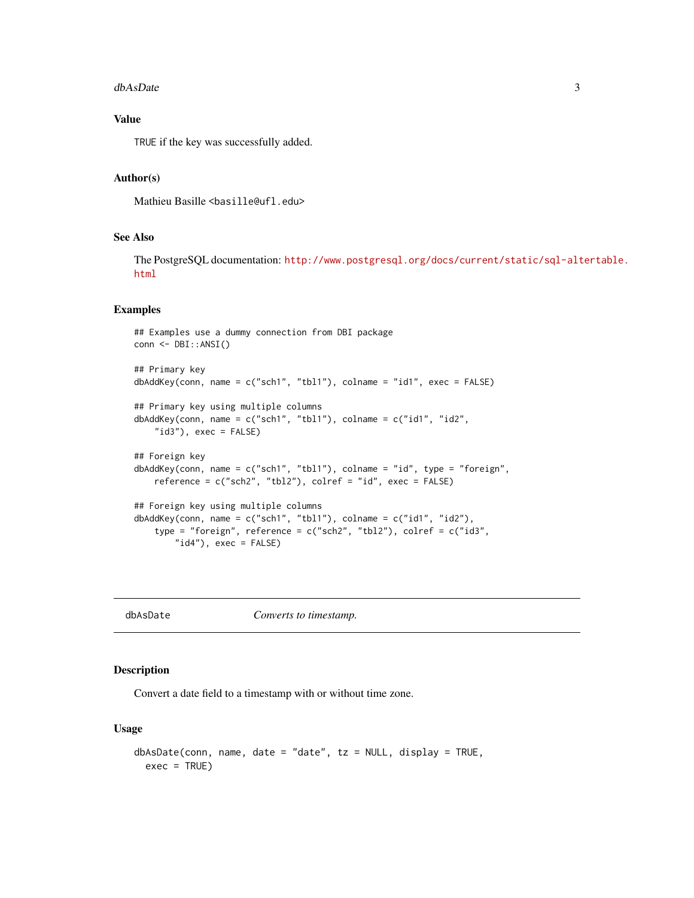#### <span id="page-2-0"></span>dbAsDate 3

## Value

TRUE if the key was successfully added.

#### Author(s)

Mathieu Basille <br/>basille@ufl.edu>

## See Also

The PostgreSQL documentation: [http://www.postgresql.org/docs/current/static/sql-alt](http://www.postgresql.org/docs/current/static/sql-altertable.html)ertable. [html](http://www.postgresql.org/docs/current/static/sql-altertable.html)

#### Examples

```
## Examples use a dummy connection from DBI package
conn <- DBI::ANSI()
## Primary key
dbAddKey(conn, name = c("sch1", "tbl1"), colname = "id1", exec = FALSE)
## Primary key using multiple columns
dbAddKey(conn, name = c("sch1", "tbl1"), colname = c("id1", "id2",
    "id3"), exec = FALSE)
## Foreign key
dbAddKey(conn, name = c("sch1", "tbl1"), colname = "id", type = "foreign",
    reference = c("sch2", "tbl2"), colref = "id", exec = FALSE)
## Foreign key using multiple columns
dbAddKey(conn, name = c("sch1", "tb11"), colname = c("id1", "id2"),type = "foreign", reference = c("sch2", "tbl2"), colref = c("id3",
        "id4"), exec = FALSE)
```
dbAsDate *Converts to timestamp.*

#### Description

Convert a date field to a timestamp with or without time zone.

```
dbAsDate(conn, name, date = "date", tz = NULL, display = TRUE,exec = TRUE)
```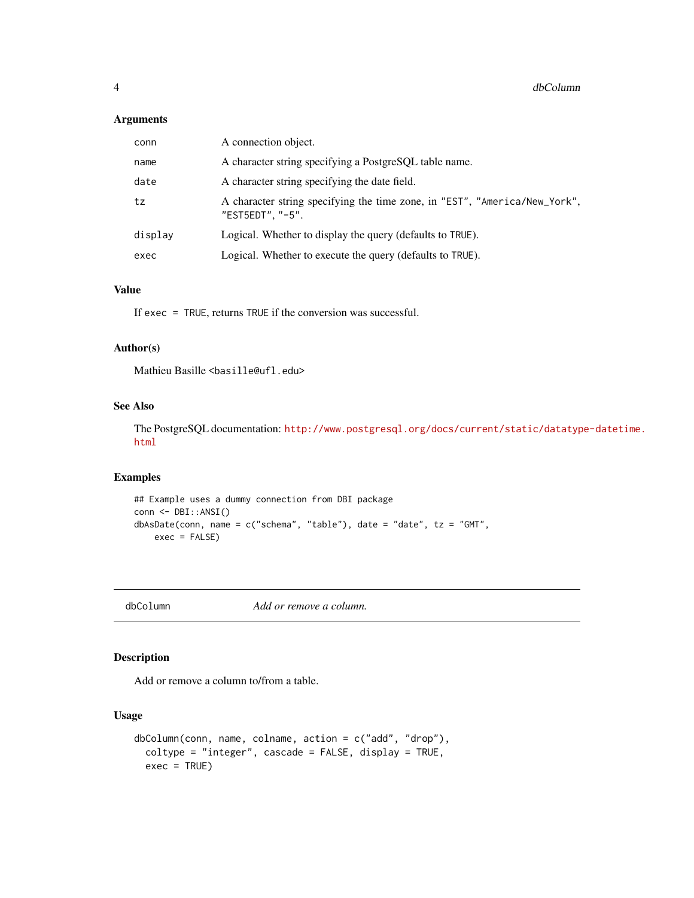#### <span id="page-3-0"></span>Arguments

| conn    | A connection object.                                                                           |
|---------|------------------------------------------------------------------------------------------------|
| name    | A character string specifying a PostgreSQL table name.                                         |
| date    | A character string specifying the date field.                                                  |
| tz      | A character string specifying the time zone, in "EST", "America/New_York",<br>"EST5EDT", "-5". |
| display | Logical. Whether to display the query (defaults to TRUE).                                      |
| exec    | Logical. Whether to execute the query (defaults to TRUE).                                      |

#### Value

If exec = TRUE, returns TRUE if the conversion was successful.

#### Author(s)

Mathieu Basille <br/>basille@ufl.edu>

## See Also

The PostgreSQL documentation: [http://www.postgresql.org/docs/current/static/datatyp](http://www.postgresql.org/docs/current/static/datatype-datetime.html)e-datetime. [html](http://www.postgresql.org/docs/current/static/datatype-datetime.html)

## Examples

## Example uses a dummy connection from DBI package conn <- DBI::ANSI() dbAsDate(conn, name =  $c("schema", "table"), date = "date", tz = "GMT",$ exec = FALSE)

dbColumn *Add or remove a column.*

## Description

Add or remove a column to/from a table.

```
dbColumn(conn, name, colname, action = c("add", "drop"),
 coltype = "integer", cascade = FALSE, display = TRUE,
 exec = TRUE)
```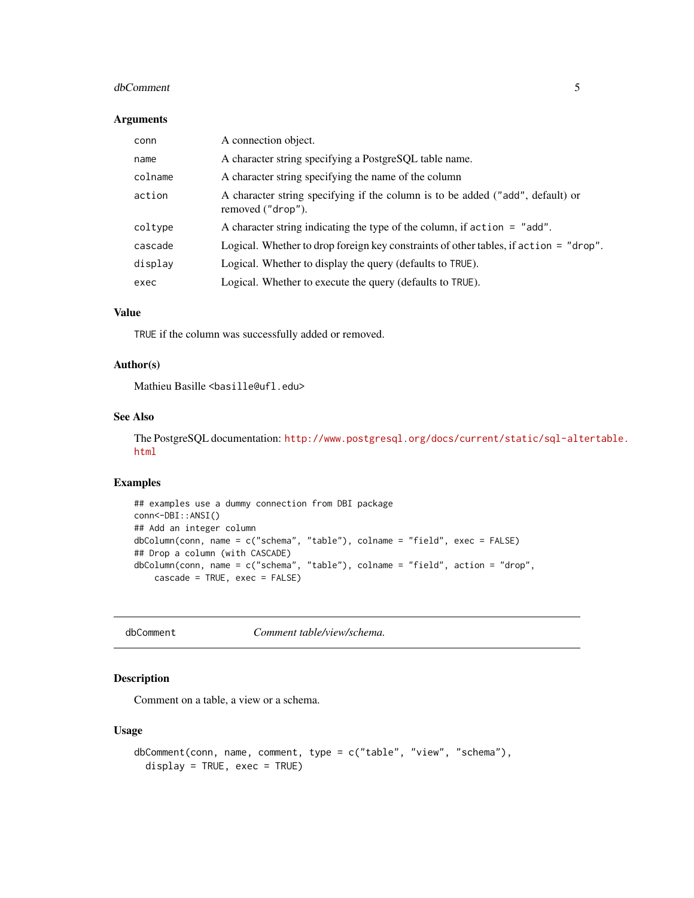#### <span id="page-4-0"></span>dbComment 5

#### Arguments

| conn    | A connection object.                                                                                |
|---------|-----------------------------------------------------------------------------------------------------|
| name    | A character string specifying a PostgreSQL table name.                                              |
| colname | A character string specifying the name of the column                                                |
| action  | A character string specifying if the column is to be added ("add", default) or<br>removed ("drop"). |
| coltype | A character string indicating the type of the column, if $action = "add".$                          |
| cascade | Logical. Whether to drop foreign key constraints of other tables, if action $=$ "drop".             |
| display | Logical. Whether to display the query (defaults to TRUE).                                           |
| exec    | Logical. Whether to execute the query (defaults to TRUE).                                           |

## Value

TRUE if the column was successfully added or removed.

#### Author(s)

Mathieu Basille <br/>basille@ufl.edu>

## See Also

The PostgreSQL documentation: [http://www.postgresql.org/docs/current/static/sql-alt](http://www.postgresql.org/docs/current/static/sql-altertable.html)ertable. [html](http://www.postgresql.org/docs/current/static/sql-altertable.html)

## Examples

```
## examples use a dummy connection from DBI package
conn<-DBI::ANSI()
## Add an integer column
dbColumn(conn, name = c("schema", "table"), colname = "field", exec = FALSE)
## Drop a column (with CASCADE)
dbColumn(conn, name = c("schema", "table"), colname = "field", action = "drop",
   cascade = TRUE, exec = FALSE)
```

```
dbComment Comment table/view/schema.
```
## Description

Comment on a table, a view or a schema.

```
dbComment(conn, name, comment, type = c("table", "view", "schema"),
  display = TRUE, exec = TRUE)
```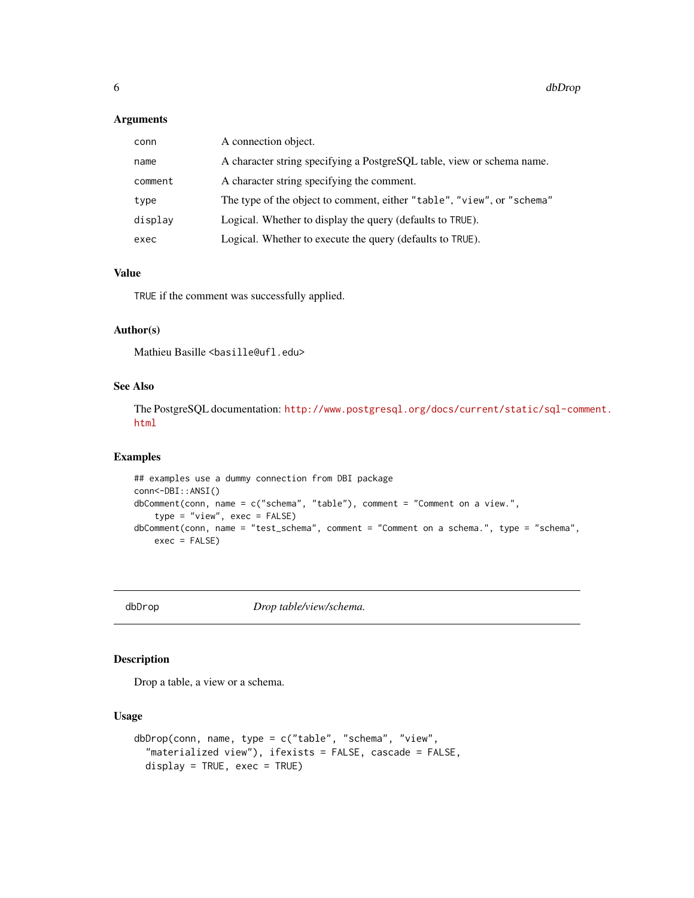#### <span id="page-5-0"></span>Arguments

| conn    | A connection object.                                                   |
|---------|------------------------------------------------------------------------|
| name    | A character string specifying a PostgreSQL table, view or schema name. |
| comment | A character string specifying the comment.                             |
| type    | The type of the object to comment, either "table", "view", or "schema" |
| display | Logical. Whether to display the query (defaults to TRUE).              |
| exec    | Logical. Whether to execute the query (defaults to TRUE).              |

#### Value

TRUE if the comment was successfully applied.

## Author(s)

Mathieu Basille <br/>basille@ufl.edu>

## See Also

The PostgreSQL documentation: [http://www.postgresql.org/docs/current/static/sql-com](http://www.postgresql.org/docs/current/static/sql-comment.html)ment. [html](http://www.postgresql.org/docs/current/static/sql-comment.html)

#### Examples

```
## examples use a dummy connection from DBI package
conn<-DBI::ANSI()
dbComment(conn, name = c("schema", "table"), comment = "Comment on a view.",
   type = "view", exec = FALSE)
dbComment(conn, name = "test_schema", comment = "Comment on a schema.", type = "schema",
   exec = FALSE)
```
<span id="page-5-1"></span>

dbDrop *Drop table/view/schema.*

## Description

Drop a table, a view or a schema.

```
dbDrop(conn, name, type = c("table", "schema", "view",
  "materialized view"), ifexists = FALSE, cascade = FALSE,
 display = TRUE, exec = TRUE)
```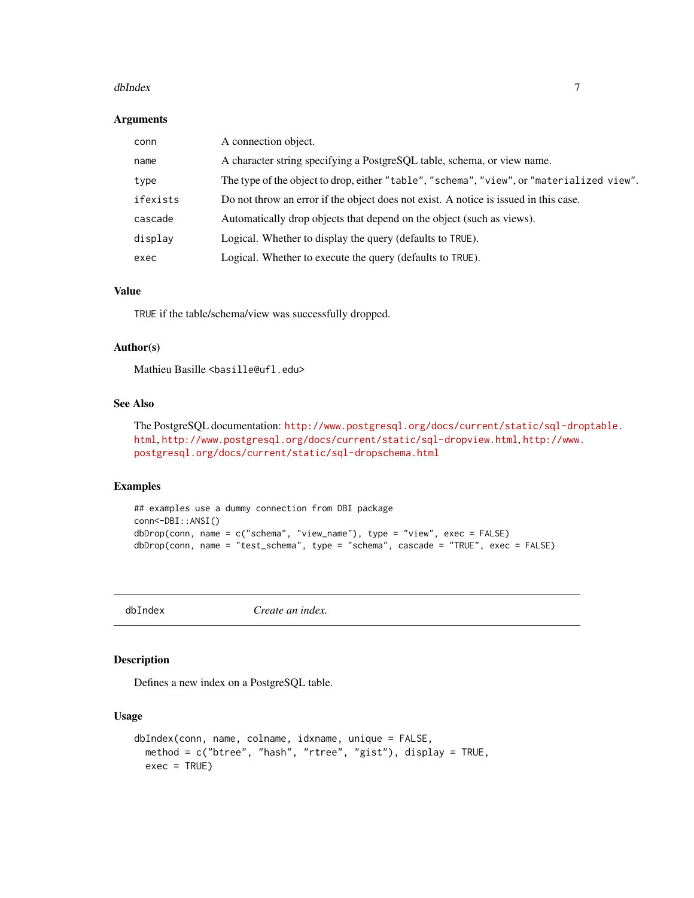#### <span id="page-6-0"></span>dbIndex 7

#### Arguments

| conn     | A connection object.                                                                      |
|----------|-------------------------------------------------------------------------------------------|
| name     | A character string specifying a PostgreSQL table, schema, or view name.                   |
| type     | The type of the object to drop, either "table", "schema", "view", or "materialized view". |
| ifexists | Do not throw an error if the object does not exist. A notice is issued in this case.      |
| cascade  | Automatically drop objects that depend on the object (such as views).                     |
| display  | Logical. Whether to display the query (defaults to TRUE).                                 |
| exec     | Logical. Whether to execute the query (defaults to TRUE).                                 |

#### Value

TRUE if the table/schema/view was successfully dropped.

#### Author(s)

Mathieu Basille <br/>basille@ufl.edu>

## See Also

The PostgreSQL documentation: [http://www.postgresql.org/docs/current/static/sql-dro](http://www.postgresql.org/docs/current/static/sql-droptable.html)ptable. [html](http://www.postgresql.org/docs/current/static/sql-droptable.html), <http://www.postgresql.org/docs/current/static/sql-dropview.html>, [http://www.](http://www.postgresql.org/docs/current/static/sql-dropschema.html) [postgresql.org/docs/current/static/sql-dropschema.html](http://www.postgresql.org/docs/current/static/sql-dropschema.html)

#### Examples

```
## examples use a dummy connection from DBI package
conn<-DBI::ANSI()
dbDrop(conn, name = c("schema", "view_name"), type = "view", exec = FALSE)
dbDrop(conn, name = "test_schema", type = "schema", cascade = "TRUE", exec = FALSE)
```
dbIndex *Create an index.*

## Description

Defines a new index on a PostgreSQL table.

```
dbIndex(conn, name, colname, idxname, unique = FALSE,
 method = c("btree", "hash", "rtree", "gist"), display = TRUE,
 exec = TRUE)
```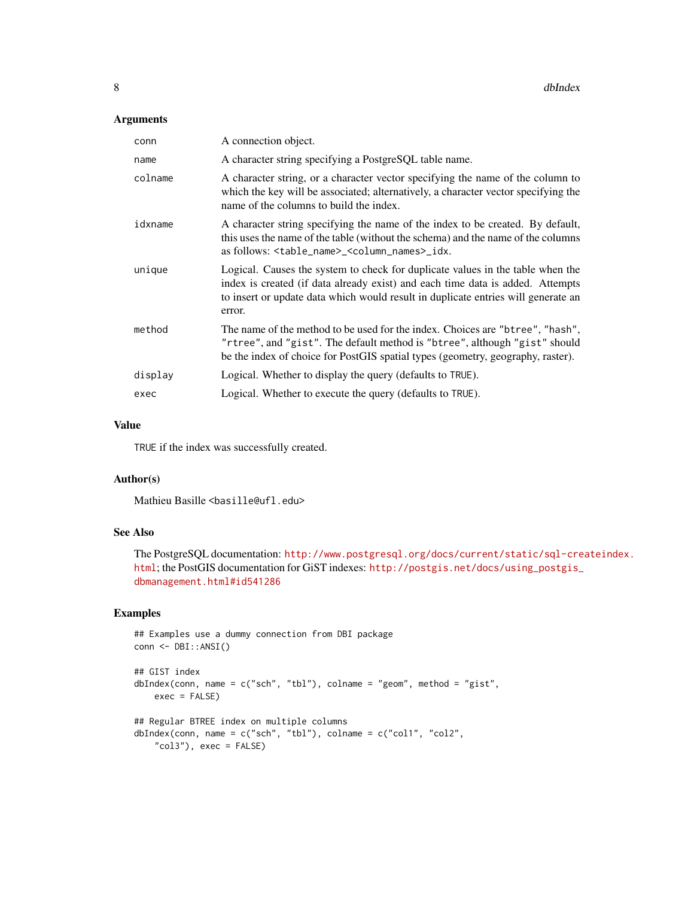## Arguments

| conn    | A connection object.                                                                                                                                                                                                                                            |
|---------|-----------------------------------------------------------------------------------------------------------------------------------------------------------------------------------------------------------------------------------------------------------------|
| name    | A character string specifying a PostgreSQL table name.                                                                                                                                                                                                          |
| colname | A character string, or a character vector specifying the name of the column to<br>which the key will be associated; alternatively, a character vector specifying the<br>name of the columns to build the index.                                                 |
| idxname | A character string specifying the name of the index to be created. By default,<br>this uses the name of the table (without the schema) and the name of the columns<br>as follows: <table_name>_<column_names>_idx.</column_names></table_name>                  |
| unique  | Logical. Causes the system to check for duplicate values in the table when the<br>index is created (if data already exist) and each time data is added. Attempts<br>to insert or update data which would result in duplicate entries will generate an<br>error. |
| method  | The name of the method to be used for the index. Choices are "btree", "hash",<br>"rtree", and "gist". The default method is "btree", although "gist" should<br>be the index of choice for PostGIS spatial types (geometry, geography, raster).                  |
| display | Logical. Whether to display the query (defaults to TRUE).                                                                                                                                                                                                       |
| exec    | Logical. Whether to execute the query (defaults to TRUE).                                                                                                                                                                                                       |

#### Value

TRUE if the index was successfully created.

## Author(s)

Mathieu Basille <br/>basille@ufl.edu>

## See Also

The PostgreSQL documentation: [http://www.postgresql.org/docs/current/static/sql-cre](http://www.postgresql.org/docs/current/static/sql-createindex.html)ateindex. [html](http://www.postgresql.org/docs/current/static/sql-createindex.html); the PostGIS documentation for GiST indexes: [http://postgis.net/docs/using\\_postgis\\_](http://postgis.net/docs/using_postgis_dbmanagement.html#id541286) [dbmanagement.html#id541286](http://postgis.net/docs/using_postgis_dbmanagement.html#id541286)

#### Examples

```
## Examples use a dummy connection from DBI package
conn <- DBI::ANSI()
## GIST index
dbIndex(conn, name = c("sch", "tbl"), colname = "geom", method = "gist",
   exec = FALSE)
## Regular BTREE index on multiple columns
dbIndex(conn, name = c("sch", "tbl"), colname = c("coll", "col2","col3"), exec = FALSE)
```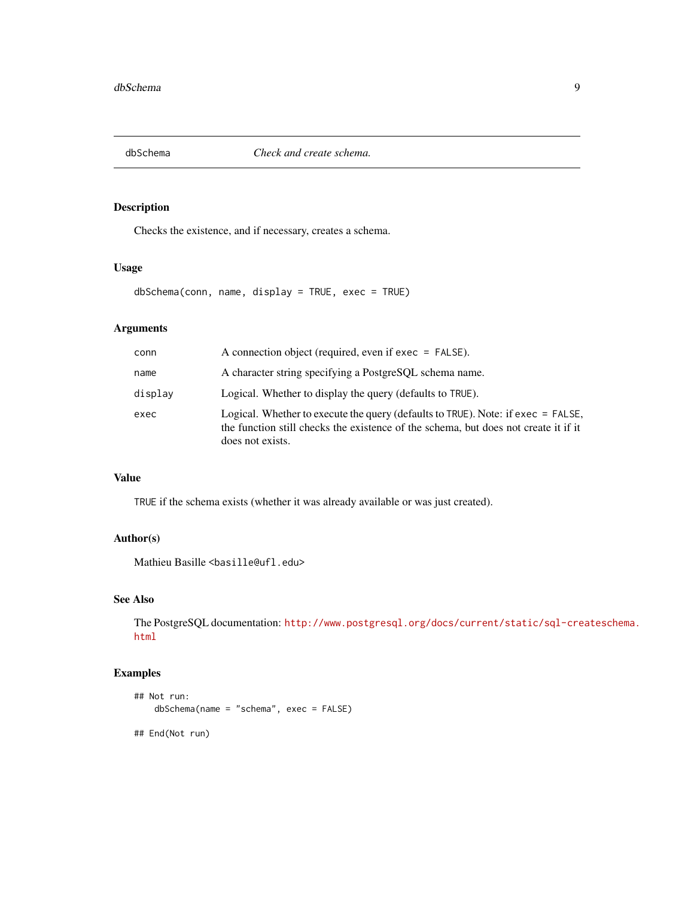<span id="page-8-0"></span>

## Description

Checks the existence, and if necessary, creates a schema.

## Usage

dbSchema(conn, name, display = TRUE, exec = TRUE)

## Arguments

| conn    | A connection object (required, even if $exec = FALSE$ ).                                                                                                                                          |
|---------|---------------------------------------------------------------------------------------------------------------------------------------------------------------------------------------------------|
| name    | A character string specifying a PostgreSQL schema name.                                                                                                                                           |
| displav | Logical. Whether to display the query (defaults to TRUE).                                                                                                                                         |
| ехес    | Logical. Whether to execute the query (defaults to $TRUE$ ). Note: if exec = $FALSE$ ,<br>the function still checks the existence of the schema, but does not create it if it<br>does not exists. |

## Value

TRUE if the schema exists (whether it was already available or was just created).

## Author(s)

Mathieu Basille <br/>basille@ufl.edu>

## See Also

The PostgreSQL documentation: [http://www.postgresql.org/docs/current/static/sql-cre](http://www.postgresql.org/docs/current/static/sql-createschema.html)ateschema. [html](http://www.postgresql.org/docs/current/static/sql-createschema.html)

## Examples

```
## Not run:
   dbSchema(name = "schema", exec = FALSE)
```
## End(Not run)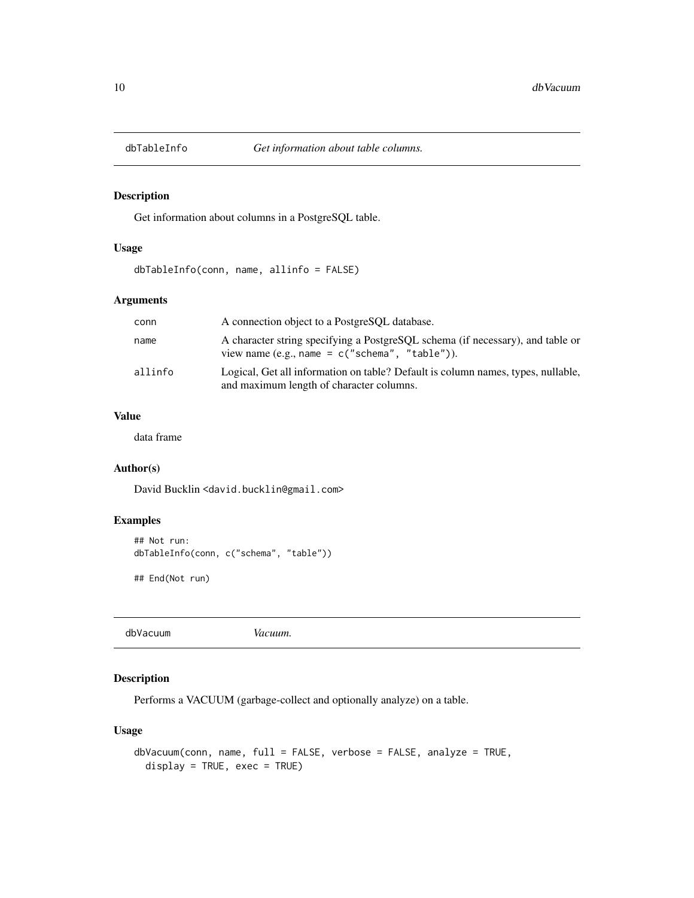<span id="page-9-0"></span>

## Description

Get information about columns in a PostgreSQL table.

## Usage

```
dbTableInfo(conn, name, allinfo = FALSE)
```
#### Arguments

| conn    | A connection object to a PostgreSQL database.                                                                                       |
|---------|-------------------------------------------------------------------------------------------------------------------------------------|
| name    | A character string specifying a PostgreSQL schema (if necessary), and table or<br>view name (e.g., name = $c("schema", "table")$ ). |
| allinfo | Logical, Get all information on table? Default is column names, types, nullable,<br>and maximum length of character columns.        |

## Value

data frame

## Author(s)

David Bucklin <david.bucklin@gmail.com>

## Examples

```
## Not run:
dbTableInfo(conn, c("schema", "table"))
```
## End(Not run)

dbVacuum *Vacuum.*

## Description

Performs a VACUUM (garbage-collect and optionally analyze) on a table.

```
dbVacuum(conn, name, full = FALSE, verbose = FALSE, analyze = TRUE,
  display = TRUE, exec = TRUE)
```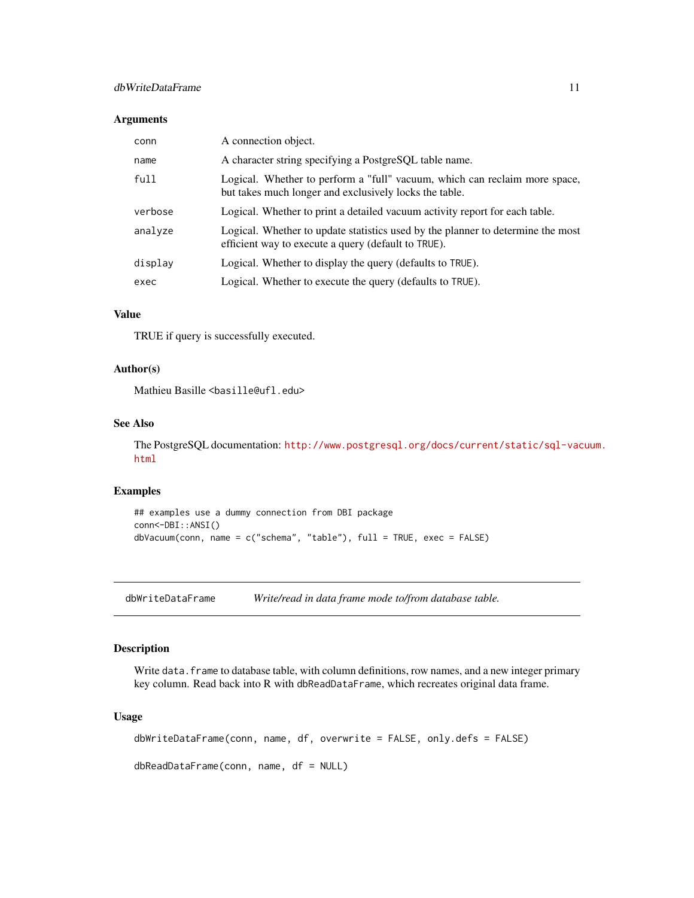## <span id="page-10-0"></span>dbWriteDataFrame 11

#### Arguments

| conn    | A connection object.                                                                                                                   |
|---------|----------------------------------------------------------------------------------------------------------------------------------------|
| name    | A character string specifying a PostgreSQL table name.                                                                                 |
| ful1    | Logical. Whether to perform a "full" vacuum, which can reclaim more space,<br>but takes much longer and exclusively locks the table.   |
| verbose | Logical. Whether to print a detailed vacuum activity report for each table.                                                            |
| analyze | Logical. Whether to update statistics used by the planner to determine the most<br>efficient way to execute a query (default to TRUE). |
| display | Logical. Whether to display the query (defaults to TRUE).                                                                              |
| exec    | Logical. Whether to execute the query (defaults to TRUE).                                                                              |

#### Value

TRUE if query is successfully executed.

## Author(s)

Mathieu Basille <br/>basille@ufl.edu>

#### See Also

The PostgreSQL documentation: [http://www.postgresql.org/docs/current/static/sql-vac](http://www.postgresql.org/docs/current/static/sql-vacuum.html)uum. [html](http://www.postgresql.org/docs/current/static/sql-vacuum.html)

#### Examples

```
## examples use a dummy connection from DBI package
conn<-DBI::ANSI()
dbVacuum(conn, name = c("schema", "table"), full = TRUE, exec = FALSE)
```
<span id="page-10-1"></span>dbWriteDataFrame *Write/read in data frame mode to/from database table.*

## Description

Write data. frame to database table, with column definitions, row names, and a new integer primary key column. Read back into R with dbReadDataFrame, which recreates original data frame.

## Usage

dbWriteDataFrame(conn, name, df, overwrite = FALSE, only.defs = FALSE)

```
dbReadDataFrame(conn, name, df = NULL)
```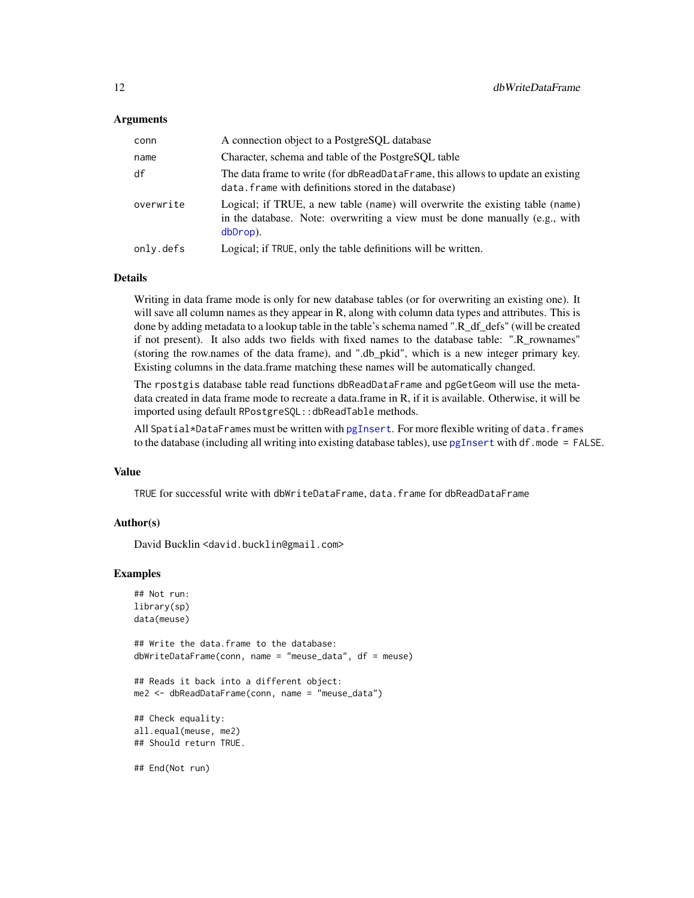#### <span id="page-11-0"></span>Arguments

| conn      | A connection object to a PostgreSQL database                                                                                                                             |
|-----------|--------------------------------------------------------------------------------------------------------------------------------------------------------------------------|
| name      | Character, schema and table of the PostgreSQL table                                                                                                                      |
| df        | The data frame to write (for dbReadDataFrame, this allows to update an existing<br>data. frame with definitions stored in the database)                                  |
| overwrite | Logical; if TRUE, a new table (name) will overwrite the existing table (name)<br>in the database. Note: overwriting a view must be done manually (e.g., with<br>dbDrop). |
| only.defs | Logical; if TRUE, only the table definitions will be written.                                                                                                            |

#### Details

Writing in data frame mode is only for new database tables (or for overwriting an existing one). It will save all column names as they appear in R, along with column data types and attributes. This is done by adding metadata to a lookup table in the table's schema named ".R\_df\_defs" (will be created if not present). It also adds two fields with fixed names to the database table: ".R\_rownames" (storing the row.names of the data frame), and ".db\_pkid", which is a new integer primary key. Existing columns in the data.frame matching these names will be automatically changed.

The rpostgis database table read functions dbReadDataFrame and pgGetGeom will use the metadata created in data frame mode to recreate a data.frame in R, if it is available. Otherwise, it will be imported using default RPostgreSQL::dbReadTable methods.

All Spatial\*DataFrames must be written with [pgInsert](#page-15-1). For more flexible writing of data.frames to the database (including all writing into existing database tables), use [pgInsert](#page-15-1) with df.mode = FALSE.

#### Value

TRUE for successful write with dbWriteDataFrame, data.frame for dbReadDataFrame

#### Author(s)

David Bucklin <david.bucklin@gmail.com>

#### Examples

```
## Not run:
library(sp)
data(meuse)
```
## Write the data.frame to the database: dbWriteDataFrame(conn, name = "meuse\_data", df = meuse)

```
## Reads it back into a different object:
me2 <- dbReadDataFrame(conn, name = "meuse_data")
```

```
## Check equality:
all.equal(meuse, me2)
## Should return TRUE.
```
## End(Not run)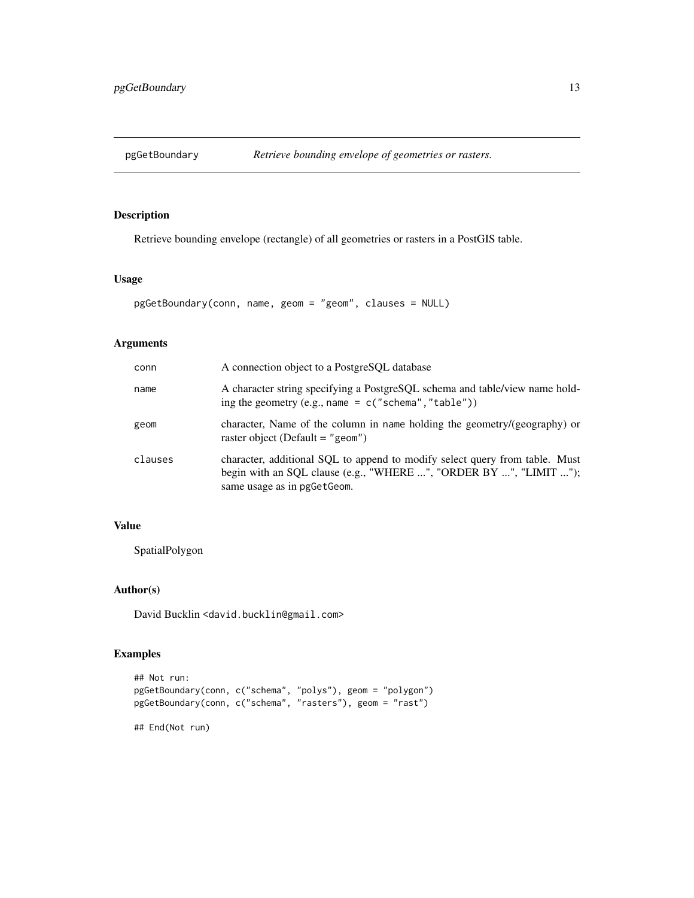<span id="page-12-0"></span>

## Description

Retrieve bounding envelope (rectangle) of all geometries or rasters in a PostGIS table.

#### Usage

```
pgGetBoundary(conn, name, geom = "geom", clauses = NULL)
```
## Arguments

| conn    | A connection object to a PostgreSOL database                                                                                                                                    |
|---------|---------------------------------------------------------------------------------------------------------------------------------------------------------------------------------|
| name    | A character string specifying a PostgreSQL schema and table/view name hold-<br>ing the geometry (e.g., name = $c("schem," "table")$ )                                           |
| geom    | character, Name of the column in name holding the geometry/(geography) or<br>raster object (Default = "geom")                                                                   |
| clauses | character, additional SQL to append to modify select query from table. Must<br>begin with an SQL clause (e.g., "WHERE ", "ORDER BY ", "LIMIT ");<br>same usage as in pgGetGeom. |

## Value

SpatialPolygon

## Author(s)

David Bucklin <david.bucklin@gmail.com>

## Examples

```
## Not run:
pgGetBoundary(conn, c("schema", "polys"), geom = "polygon")
pgGetBoundary(conn, c("schema", "rasters"), geom = "rast")
## End(Not run)
```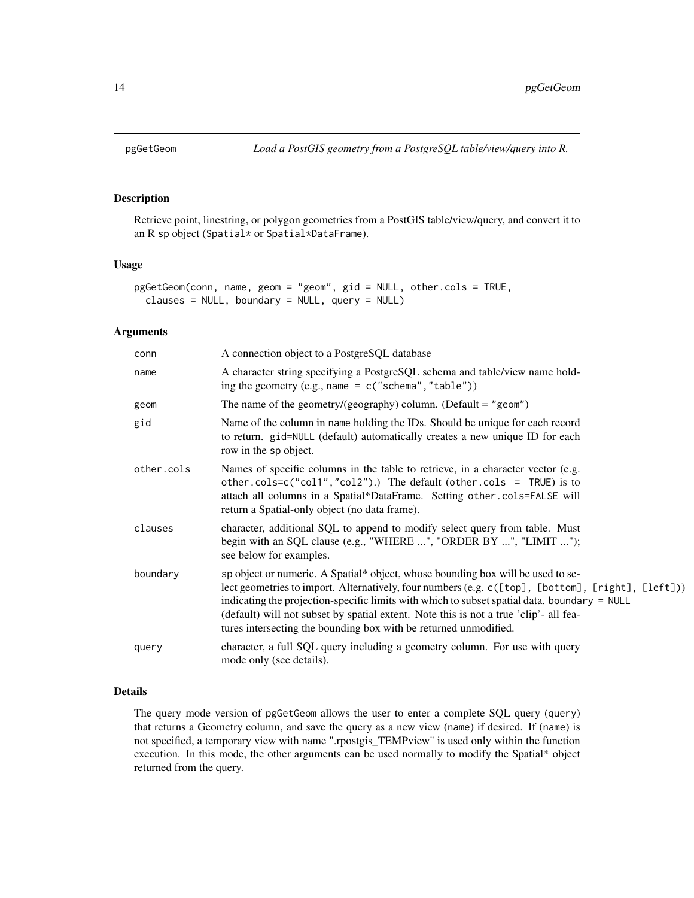<span id="page-13-0"></span>

#### Description

Retrieve point, linestring, or polygon geometries from a PostGIS table/view/query, and convert it to an R sp object (Spatial\* or Spatial\*DataFrame).

#### Usage

```
pgGetGeom(conn, name, geom = "geom", gid = NULL, other.cols = TRUE,
  clauses = NULL, boundary = NULL, query = NULL)
```
## Arguments

| conn       | A connection object to a PostgreSQL database                                                                                                                                                                                                                                                                                                                                                                                                      |
|------------|---------------------------------------------------------------------------------------------------------------------------------------------------------------------------------------------------------------------------------------------------------------------------------------------------------------------------------------------------------------------------------------------------------------------------------------------------|
| name       | A character string specifying a PostgreSQL schema and table/view name hold-<br>ing the geometry (e.g., name = $c("schema", "table")$ )                                                                                                                                                                                                                                                                                                            |
| geom       | The name of the geometry/(geography) column. (Default = "geom")                                                                                                                                                                                                                                                                                                                                                                                   |
| gid        | Name of the column in name holding the IDs. Should be unique for each record<br>to return. gid=NULL (default) automatically creates a new unique ID for each<br>row in the sp object.                                                                                                                                                                                                                                                             |
| other.cols | Names of specific columns in the table to retrieve, in a character vector (e.g.<br>other.cols= $c("col1", "col2").$ ) The default (other.cols = TRUE) is to<br>attach all columns in a Spatial*DataFrame. Setting other.cols=FALSE will<br>return a Spatial-only object (no data frame).                                                                                                                                                          |
| clauses    | character, additional SQL to append to modify select query from table. Must<br>begin with an SQL clause (e.g., "WHERE ", "ORDER BY ", "LIMIT ");<br>see below for examples.                                                                                                                                                                                                                                                                       |
| boundary   | sp object or numeric. A Spatial* object, whose bounding box will be used to se-<br>lect geometries to import. Alternatively, four numbers (e.g. c([top], [bottom], [right], [left]))<br>indicating the projection-specific limits with which to subset spatial data. boundary = NULL<br>(default) will not subset by spatial extent. Note this is not a true 'clip'- all fea-<br>tures intersecting the bounding box with be returned unmodified. |
| query      | character, a full SQL query including a geometry column. For use with query<br>mode only (see details).                                                                                                                                                                                                                                                                                                                                           |
|            |                                                                                                                                                                                                                                                                                                                                                                                                                                                   |

## Details

The query mode version of pgGetGeom allows the user to enter a complete SQL query (query) that returns a Geometry column, and save the query as a new view (name) if desired. If (name) is not specified, a temporary view with name ".rpostgis\_TEMPview" is used only within the function execution. In this mode, the other arguments can be used normally to modify the Spatial\* object returned from the query.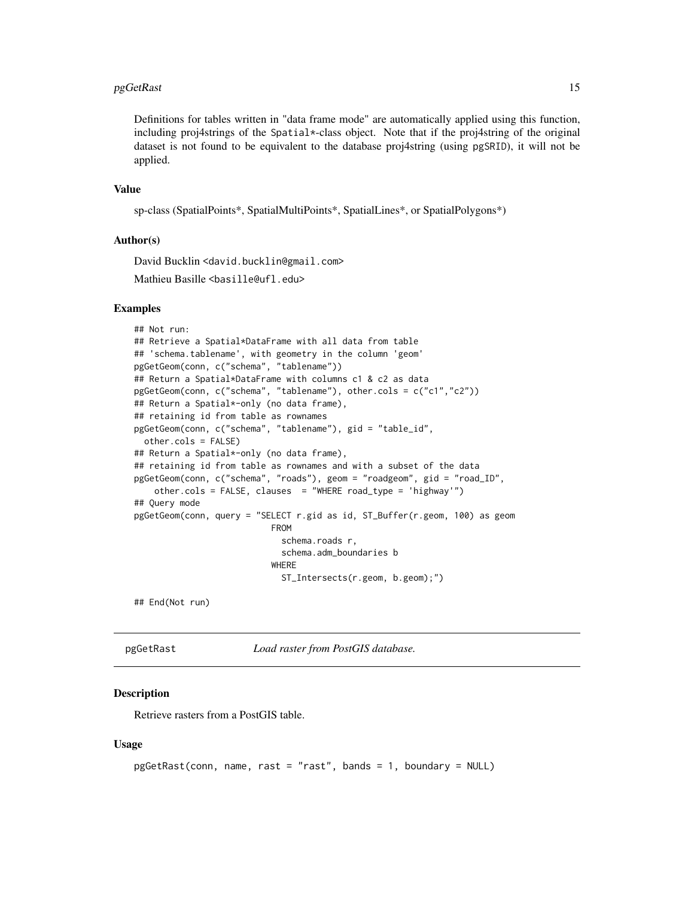#### <span id="page-14-0"></span>pgGetRast 15

Definitions for tables written in "data frame mode" are automatically applied using this function, including proj4strings of the Spatial\*-class object. Note that if the proj4string of the original dataset is not found to be equivalent to the database proj4string (using pgSRID), it will not be applied.

## Value

sp-class (SpatialPoints\*, SpatialMultiPoints\*, SpatialLines\*, or SpatialPolygons\*)

#### Author(s)

David Bucklin <david.bucklin@gmail.com> Mathieu Basille <br/>basille@ufl.edu>

#### Examples

```
## Not run:
## Retrieve a Spatial*DataFrame with all data from table
## 'schema.tablename', with geometry in the column 'geom'
pgGetGeom(conn, c("schema", "tablename"))
## Return a Spatial*DataFrame with columns c1 & c2 as data
pgGetGeom(conn, c("schema", "tablename"), other.cols = c("c1","c2"))
## Return a Spatial*-only (no data frame),
## retaining id from table as rownames
pgGetGeom(conn, c("schema", "tablename"), gid = "table_id",
 other.cols = FALSE)
## Return a Spatial*-only (no data frame),
## retaining id from table as rownames and with a subset of the data
pgGetGeom(conn, c("schema", "roads"), geom = "roadgeom", gid = "road_ID",
    other.cols = FALSE, clauses = "WHERE road_type = 'highway'")
## Query mode
pgGetGeom(conn, query = "SELECT r.gid as id, ST_Buffer(r.geom, 100) as geom
                           FROM
                             schema.roads r,
                             schema.adm_boundaries b
                           WHERE
                             ST_Intersects(r.geom, b.geom);")
```
## End(Not run)

<span id="page-14-1"></span>

pgGetRast *Load raster from PostGIS database.*

#### **Description**

Retrieve rasters from a PostGIS table.

```
pgGetRast(conn, name, rast = "rast", bands = 1, boundary = NULL)
```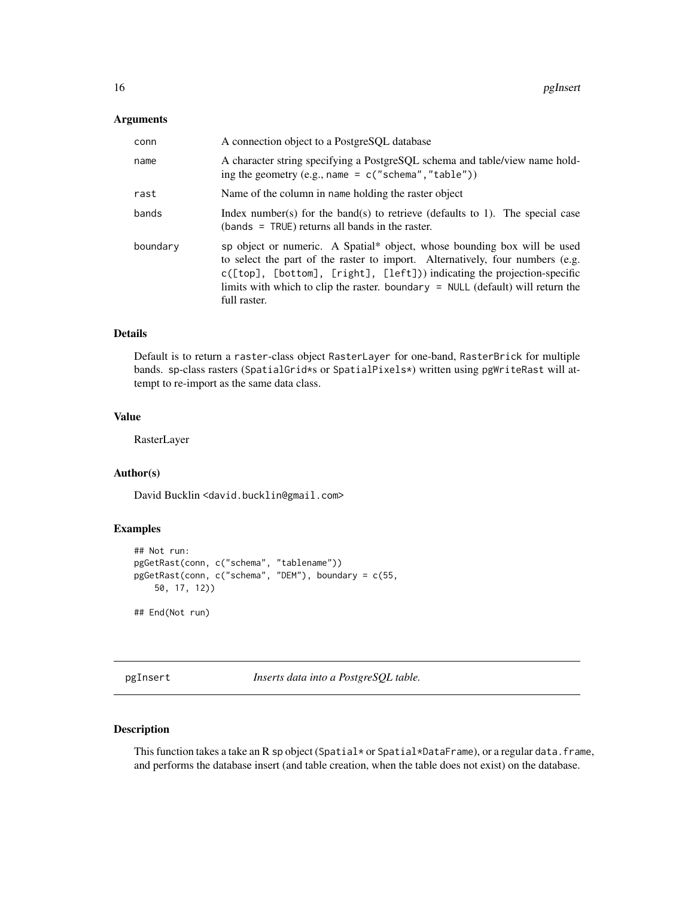#### <span id="page-15-0"></span>Arguments

| conn     | A connection object to a PostgreSOL database                                                                                                                                                                                                                                                                                                |
|----------|---------------------------------------------------------------------------------------------------------------------------------------------------------------------------------------------------------------------------------------------------------------------------------------------------------------------------------------------|
| name     | A character string specifying a PostgreSQL schema and table/view name hold-<br>ing the geometry $(e.g., name = c("schema", "table"))$                                                                                                                                                                                                       |
| rast     | Name of the column in name holding the raster object                                                                                                                                                                                                                                                                                        |
| bands    | Index number(s) for the band(s) to retrieve (defaults to 1). The special case<br>$(bands = TRUE)$ returns all bands in the raster.                                                                                                                                                                                                          |
| boundary | sp object or numeric. A Spatial* object, whose bounding box will be used<br>to select the part of the raster to import. Alternatively, four numbers (e.g.<br>$c([top], [bottom], [right], [left]))$ indicating the projection-specific<br>limits with which to clip the raster. boundary $=$ NULL (default) will return the<br>full raster. |

#### Details

Default is to return a raster-class object RasterLayer for one-band, RasterBrick for multiple bands. sp-class rasters (SpatialGrid\*s or SpatialPixels\*) written using pgWriteRast will attempt to re-import as the same data class.

#### Value

RasterLayer

#### Author(s)

David Bucklin <david.bucklin@gmail.com>

#### Examples

```
## Not run:
pgGetRast(conn, c("schema", "tablename"))
pgGetRast(conn, c("schema", "DEM"), boundary = c(55,
   50, 17, 12))
## End(Not run)
```
<span id="page-15-1"></span>pgInsert *Inserts data into a PostgreSQL table.*

## Description

This function takes a take an R sp object (Spatial\* or Spatial\*DataFrame), or a regular data.frame, and performs the database insert (and table creation, when the table does not exist) on the database.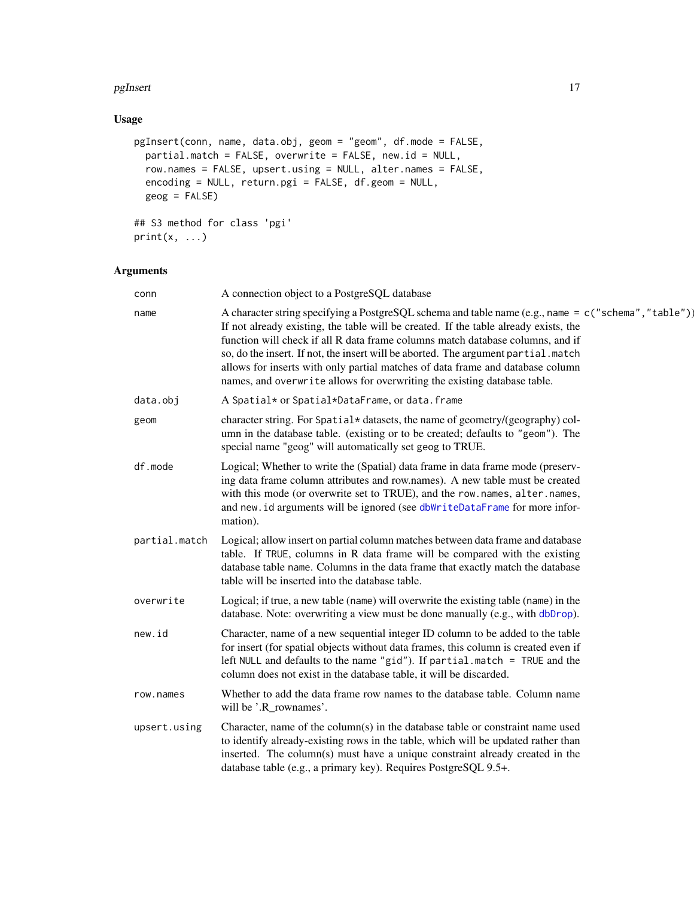#### <span id="page-16-0"></span>pgInsert 17

## Usage

```
pgInsert(conn, name, data.obj, geom = "geom", df.mode = FALSE,
 partial.match = FALSE, overwrite = FALSE, new.id = NULL,
  row.names = FALSE, upsert.using = NULL, alter.names = FALSE,
 encoding = NULL, return.pgi = FALSE, df.geom = NULL,
 geog = FALSE)
## S3 method for class 'pgi'
```
 $print(x, \ldots)$ 

| conn          | A connection object to a PostgreSQL database                                                                                                                                                                                                                                                                                                                                                                                                                                                                                         |
|---------------|--------------------------------------------------------------------------------------------------------------------------------------------------------------------------------------------------------------------------------------------------------------------------------------------------------------------------------------------------------------------------------------------------------------------------------------------------------------------------------------------------------------------------------------|
| name          | A character string specifying a PostgreSQL schema and table name (e.g., name = $c("schema", "table")$ )<br>If not already existing, the table will be created. If the table already exists, the<br>function will check if all R data frame columns match database columns, and if<br>so, do the insert. If not, the insert will be aborted. The argument partial.match<br>allows for inserts with only partial matches of data frame and database column<br>names, and overwrite allows for overwriting the existing database table. |
| data.obj      | A Spatial* or Spatial*DataFrame, or data. frame                                                                                                                                                                                                                                                                                                                                                                                                                                                                                      |
| geom          | character string. For Spatial* datasets, the name of geometry/(geography) col-<br>umn in the database table. (existing or to be created; defaults to "geom"). The<br>special name "geog" will automatically set geog to TRUE.                                                                                                                                                                                                                                                                                                        |
| df.mode       | Logical; Whether to write the (Spatial) data frame in data frame mode (preserv-<br>ing data frame column attributes and row.names). A new table must be created<br>with this mode (or overwrite set to TRUE), and the row.names, alter.names,<br>and new. id arguments will be ignored (see dbWriteDataFrame for more infor-<br>mation).                                                                                                                                                                                             |
| partial.match | Logical; allow insert on partial column matches between data frame and database<br>table. If TRUE, columns in R data frame will be compared with the existing<br>database table name. Columns in the data frame that exactly match the database<br>table will be inserted into the database table.                                                                                                                                                                                                                                   |
| overwrite     | Logical; if true, a new table (name) will overwrite the existing table (name) in the<br>database. Note: overwriting a view must be done manually (e.g., with dbDrop).                                                                                                                                                                                                                                                                                                                                                                |
| new.id        | Character, name of a new sequential integer ID column to be added to the table<br>for insert (for spatial objects without data frames, this column is created even if<br>left NULL and defaults to the name "gid"). If partial match = TRUE and the<br>column does not exist in the database table, it will be discarded.                                                                                                                                                                                                            |
| row.names     | Whether to add the data frame row names to the database table. Column name<br>will be '.R_rownames'.                                                                                                                                                                                                                                                                                                                                                                                                                                 |
| upsert.using  | Character, name of the column(s) in the database table or constraint name used<br>to identify already-existing rows in the table, which will be updated rather than<br>inserted. The column(s) must have a unique constraint already created in the<br>database table (e.g., a primary key). Requires PostgreSQL 9.5+.                                                                                                                                                                                                               |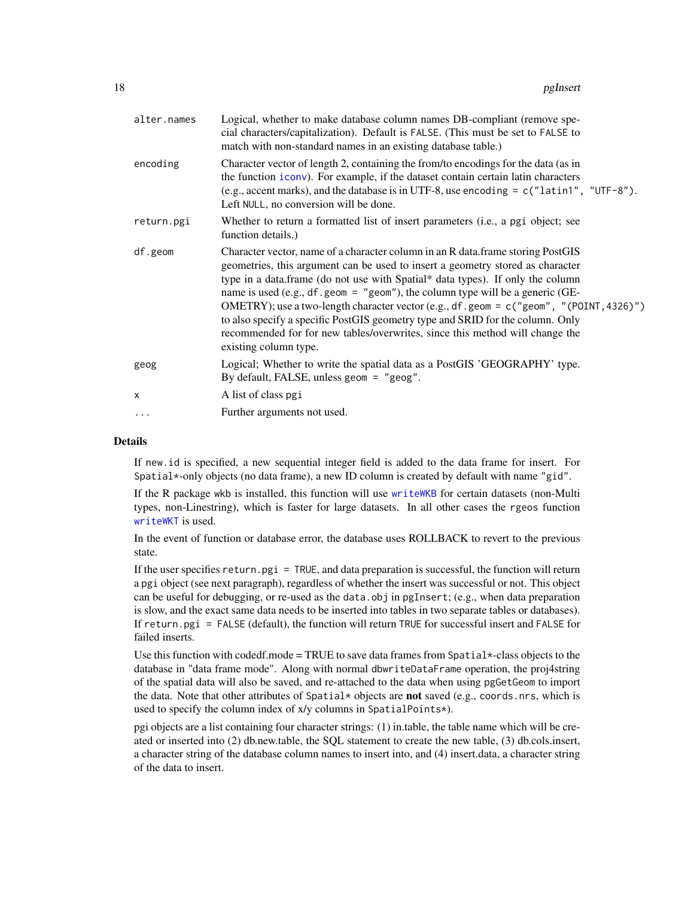<span id="page-17-0"></span>

| alter.names | Logical, whether to make database column names DB-compliant (remove spe-<br>cial characters/capitalization). Default is FALSE. (This must be set to FALSE to<br>match with non-standard names in an existing database table.)                                                                                                                                                                                                                                                                                                                                                                                                   |
|-------------|---------------------------------------------------------------------------------------------------------------------------------------------------------------------------------------------------------------------------------------------------------------------------------------------------------------------------------------------------------------------------------------------------------------------------------------------------------------------------------------------------------------------------------------------------------------------------------------------------------------------------------|
| encoding    | Character vector of length 2, containing the from/to encodings for the data (as in<br>the function iconv). For example, if the dataset contain certain latin characters<br>(e.g., accent marks), and the database is in UTF-8, use encoding = $c("latin1", "UTF-8").$<br>Left NULL, no conversion will be done.                                                                                                                                                                                                                                                                                                                 |
| return.pgi  | Whether to return a formatted list of insert parameters (i.e., a pgi object; see<br>function details.)                                                                                                                                                                                                                                                                                                                                                                                                                                                                                                                          |
| df.geom     | Character vector, name of a character column in an R data. frame storing PostGIS<br>geometries, this argument can be used to insert a geometry stored as character<br>type in a data.frame (do not use with Spatial* data types). If only the column<br>name is used (e.g., df. geom = "geom"), the column type will be a generic (GE-<br>OMETRY); use a two-length character vector (e.g., df. geom = $c$ ("geom", "(POINT, 4326)")<br>to also specify a specific PostGIS geometry type and SRID for the column. Only<br>recommended for for new tables/overwrites, since this method will change the<br>existing column type. |
| geog        | Logical; Whether to write the spatial data as a PostGIS 'GEOGRAPHY' type.<br>By default, FALSE, unless geom = "geog".                                                                                                                                                                                                                                                                                                                                                                                                                                                                                                           |
| X           | A list of class pgi                                                                                                                                                                                                                                                                                                                                                                                                                                                                                                                                                                                                             |
| .           | Further arguments not used.                                                                                                                                                                                                                                                                                                                                                                                                                                                                                                                                                                                                     |
|             |                                                                                                                                                                                                                                                                                                                                                                                                                                                                                                                                                                                                                                 |

#### **Details**

If new.id is specified, a new sequential integer field is added to the data frame for insert. For Spatial  $\star$ -only objects (no data frame), a new ID column is created by default with name "gid".

If the R package wkb is installed, this function will use [writeWKB](#page-0-0) for certain datasets (non-Multi types, non-Linestring), which is faster for large datasets. In all other cases the rgeos function [writeWKT](#page-0-0) is used.

In the event of function or database error, the database uses ROLLBACK to revert to the previous state.

If the user specifies return.pgi = TRUE, and data preparation is successful, the function will return a pgi object (see next paragraph), regardless of whether the insert was successful or not. This object can be useful for debugging, or re-used as the data.obj in pgInsert; (e.g., when data preparation is slow, and the exact same data needs to be inserted into tables in two separate tables or databases). If return.pgi = FALSE (default), the function will return TRUE for successful insert and FALSE for failed inserts.

Use this function with codedf.mode = TRUE to save data frames from Spatial $*$ -class objects to the database in "data frame mode". Along with normal dbwriteDataFrame operation, the proj4string of the spatial data will also be saved, and re-attached to the data when using pgGetGeom to import the data. Note that other attributes of Spatial\* objects are **not** saved (e.g., coords.nrs, which is used to specify the column index of x/y columns in SpatialPoints\*).

pgi objects are a list containing four character strings: (1) in.table, the table name which will be created or inserted into (2) db.new.table, the SQL statement to create the new table, (3) db.cols.insert, a character string of the database column names to insert into, and (4) insert.data, a character string of the data to insert.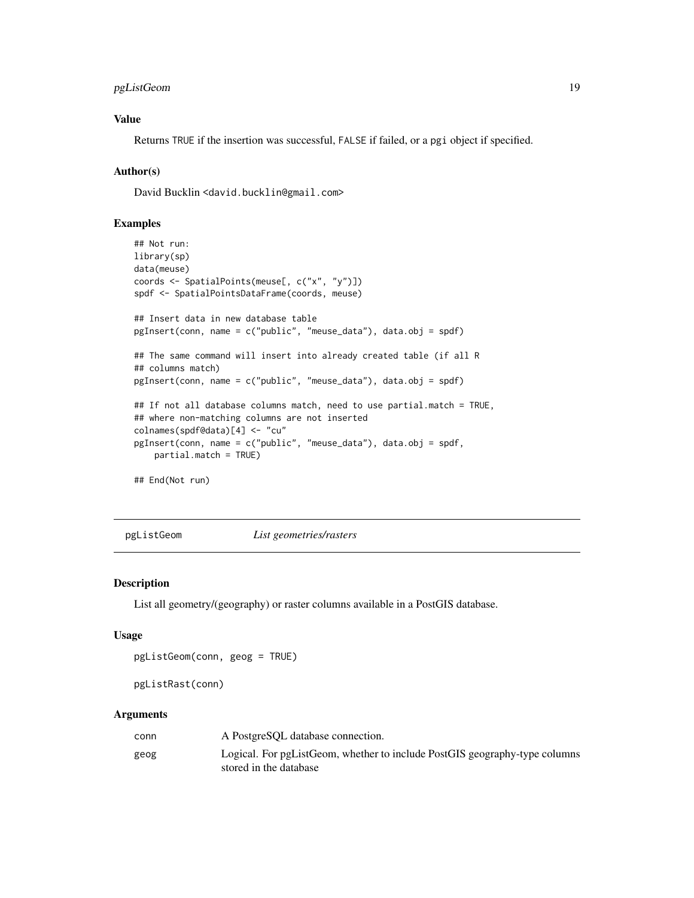## <span id="page-18-0"></span>pgListGeom 19

## Value

Returns TRUE if the insertion was successful, FALSE if failed, or a pgi object if specified.

#### Author(s)

David Bucklin <david.bucklin@gmail.com>

## Examples

```
## Not run:
library(sp)
data(meuse)
coords <- SpatialPoints(meuse[, c("x", "y")])
spdf <- SpatialPointsDataFrame(coords, meuse)
## Insert data in new database table
pgInsert(conn, name = c("public", "meuse_data"), data.obj = spdf)
## The same command will insert into already created table (if all R
## columns match)
pgInsert(conn, name = c("public", "meuse_data"), data.obj = spdf)
## If not all database columns match, need to use partial.match = TRUE,
## where non-matching columns are not inserted
colnames(spdf@data)[4] <- "cu"
pgInsert(conn, name = c("public", "meuse_data"), data.obj = spdf,
    partial.match = TRUE)
## End(Not run)
```
pgListGeom *List geometries/rasters*

#### Description

List all geometry/(geography) or raster columns available in a PostGIS database.

#### Usage

pgListGeom(conn, geog = TRUE)

```
pgListRast(conn)
```

| conn | A PostgreSOL database connection.                                                                    |
|------|------------------------------------------------------------------------------------------------------|
| geog | Logical. For pgListGeom, whether to include PostGIS geography-type columns<br>stored in the database |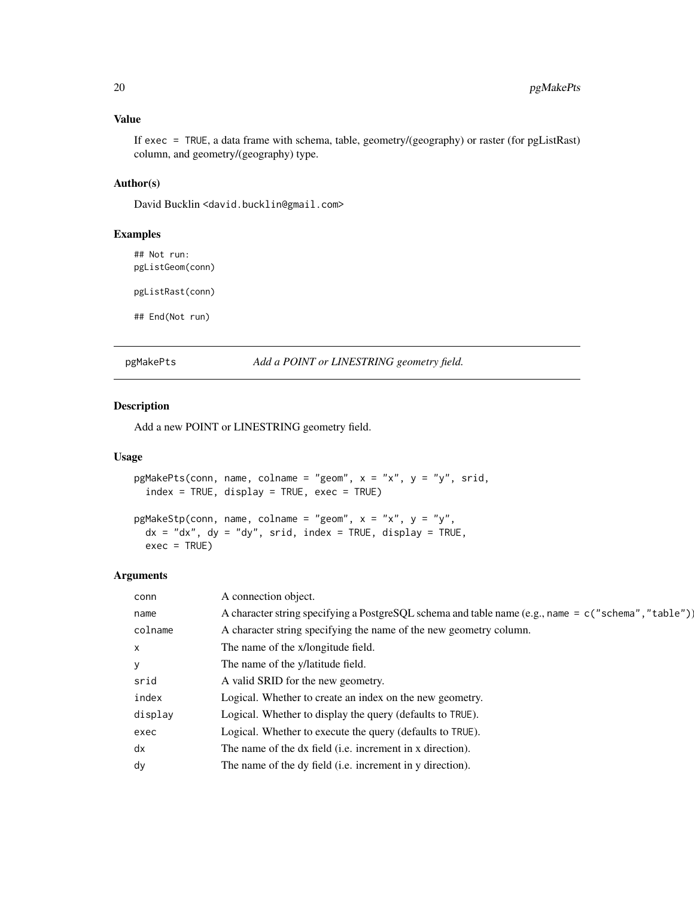#### Value

If exec = TRUE, a data frame with schema, table, geometry/(geography) or raster (for pgListRast) column, and geometry/(geography) type.

## Author(s)

David Bucklin <david.bucklin@gmail.com>

#### Examples

## Not run: pgListGeom(conn) pgListRast(conn) ## End(Not run)

pgMakePts *Add a POINT or LINESTRING geometry field.*

#### Description

Add a new POINT or LINESTRING geometry field.

#### Usage

```
pgMakePts(conn, name, colname = "geom", x = "x", y = "y", srid,index = TRUE, display = TRUE, exec = TRUE
```

```
pgMakeStp(conn, name, colname = "geom", x = "x", y = "y",dx = "dx", dy = "dy", srid, index = TRUE, display = TRUE,exec = TRUE)
```

| A connection object.                                                                                    |
|---------------------------------------------------------------------------------------------------------|
| A character string specifying a PostgreSQL schema and table name (e.g., name = $c$ ("schema", "table")) |
| A character string specifying the name of the new geometry column.                                      |
| The name of the x/longitude field.                                                                      |
| The name of the y/latitude field.                                                                       |
| A valid SRID for the new geometry.                                                                      |
| Logical. Whether to create an index on the new geometry.                                                |
| Logical. Whether to display the query (defaults to TRUE).                                               |
| Logical. Whether to execute the query (defaults to TRUE).                                               |
| The name of the dx field ( <i>i.e.</i> increment in x direction).                                       |
| The name of the dy field (i.e. increment in y direction).                                               |
|                                                                                                         |

<span id="page-19-0"></span>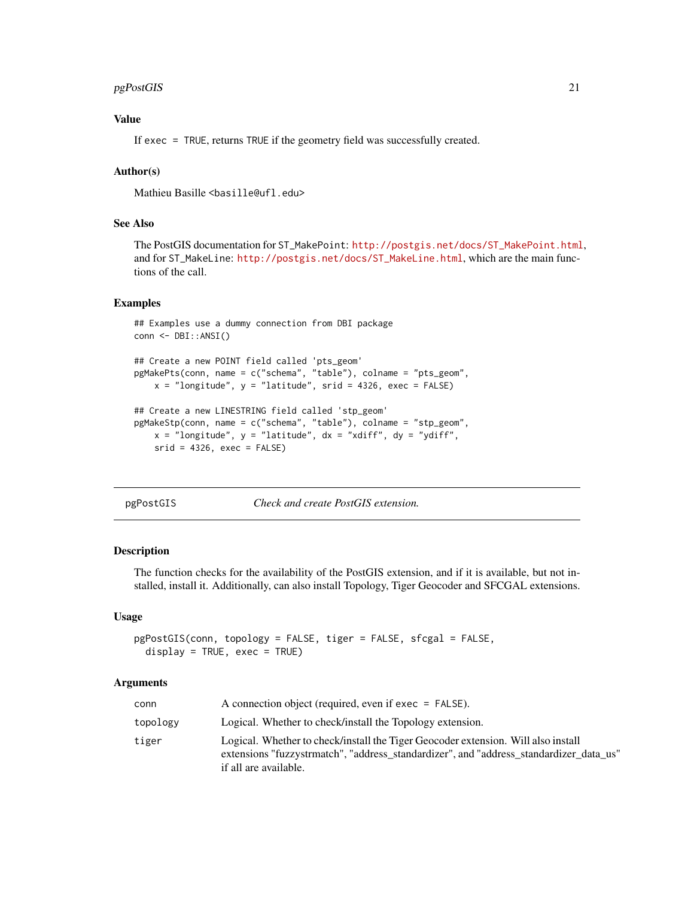## <span id="page-20-0"></span>pgPostGIS 21

## Value

If exec = TRUE, returns TRUE if the geometry field was successfully created.

## Author(s)

Mathieu Basille <br/>basille@ufl.edu>

## See Also

The PostGIS documentation for ST\_MakePoint: [http://postgis.net/docs/ST\\_MakePoint.html](http://postgis.net/docs/ST_MakePoint.html), and for ST\_MakeLine: [http://postgis.net/docs/ST\\_MakeLine.html](http://postgis.net/docs/ST_MakeLine.html), which are the main functions of the call.

#### Examples

```
## Examples use a dummy connection from DBI package
conn <- DBI::ANSI()
## Create a new POINT field called 'pts_geom'
pgMakePts(conn, name = c("schema", "table"), colname = "pts_geom",
   x = "longitude", y = "latitude", srid = 4326, exec = FALSE)
## Create a new LINESTRING field called 'stp_geom'
pgMakeStp(conn, name = c("schema", "table"), colname = "stp_geom",
    x = "longitude", y = "latitude", dx = "xdiff", dy = "ydiff",
    srid = 4326, exec = FALSE)
```
pgPostGIS *Check and create PostGIS extension.*

#### Description

The function checks for the availability of the PostGIS extension, and if it is available, but not installed, install it. Additionally, can also install Topology, Tiger Geocoder and SFCGAL extensions.

#### Usage

```
pgPostGIS(conn, topology = FALSE, tiger = FALSE, sfcgal = FALSE,
 display = TRUE, exec = TRUE)
```

| conn     | A connection object (required, even if $exec = FALSE$ ).                                                                                                                                             |
|----------|------------------------------------------------------------------------------------------------------------------------------------------------------------------------------------------------------|
| topology | Logical. Whether to check/install the Topology extension.                                                                                                                                            |
| tiger    | Logical. Whether to check/install the Tiger Geocoder extension. Will also install<br>extensions "fuzzystrmatch", "address standardizer", and "address standardizer data us"<br>if all are available. |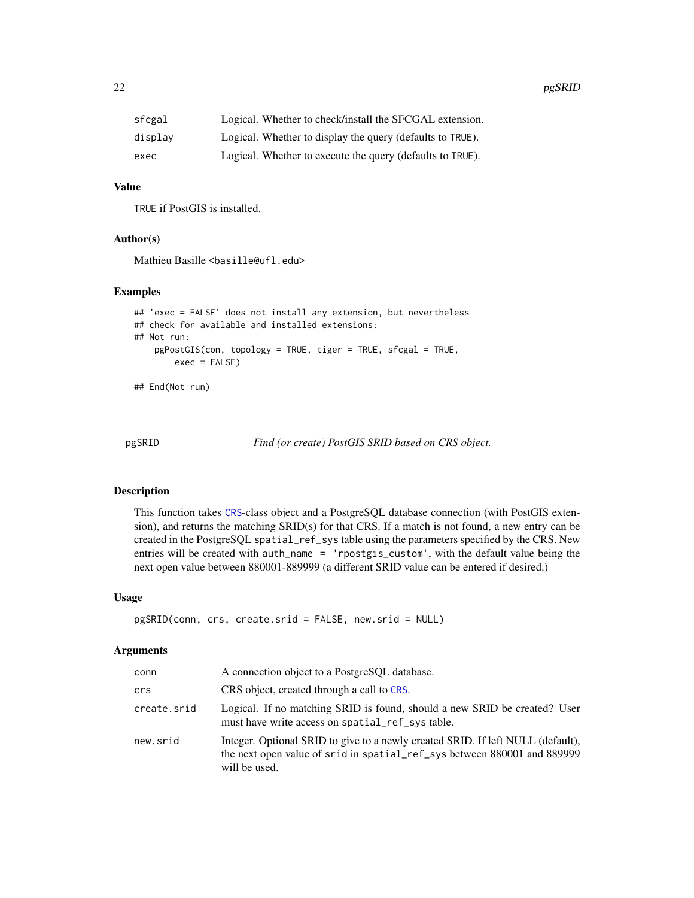<span id="page-21-0"></span>

| sfcgal  | Logical. Whether to check/install the SFCGAL extension.   |
|---------|-----------------------------------------------------------|
| display | Logical. Whether to display the query (defaults to TRUE). |
| exec    | Logical. Whether to execute the query (defaults to TRUE). |

## Value

TRUE if PostGIS is installed.

#### Author(s)

Mathieu Basille <br/>basille@ufl.edu>

#### Examples

```
## 'exec = FALSE' does not install any extension, but nevertheless
## check for available and installed extensions:
## Not run:
   pgPostGIS(con, topology = TRUE, tiger = TRUE, sfcgal = TRUE,
       exec = FALSE)
```
## End(Not run)

pgSRID *Find (or create) PostGIS SRID based on CRS object.*

#### Description

This function takes [CRS](#page-0-0)-class object and a PostgreSQL database connection (with PostGIS extension), and returns the matching SRID(s) for that CRS. If a match is not found, a new entry can be created in the PostgreSQL spatial\_ref\_sys table using the parameters specified by the CRS. New entries will be created with auth\_name = 'rpostgis\_custom', with the default value being the next open value between 880001-889999 (a different SRID value can be entered if desired.)

#### Usage

```
pgSRID(conn, crs, create.srid = FALSE, new.srid = NULL)
```

| conn        | A connection object to a PostgreSQL database.                                                                                                                                |
|-------------|------------------------------------------------------------------------------------------------------------------------------------------------------------------------------|
| crs         | CRS object, created through a call to CRS.                                                                                                                                   |
| create.srid | Logical. If no matching SRID is found, should a new SRID be created? User<br>must have write access on spatial_ref_sys table.                                                |
| new.srid    | Integer. Optional SRID to give to a newly created SRID. If left NULL (default),<br>the next open value of srid in spatial_ref_sys between 880001 and 889999<br>will be used. |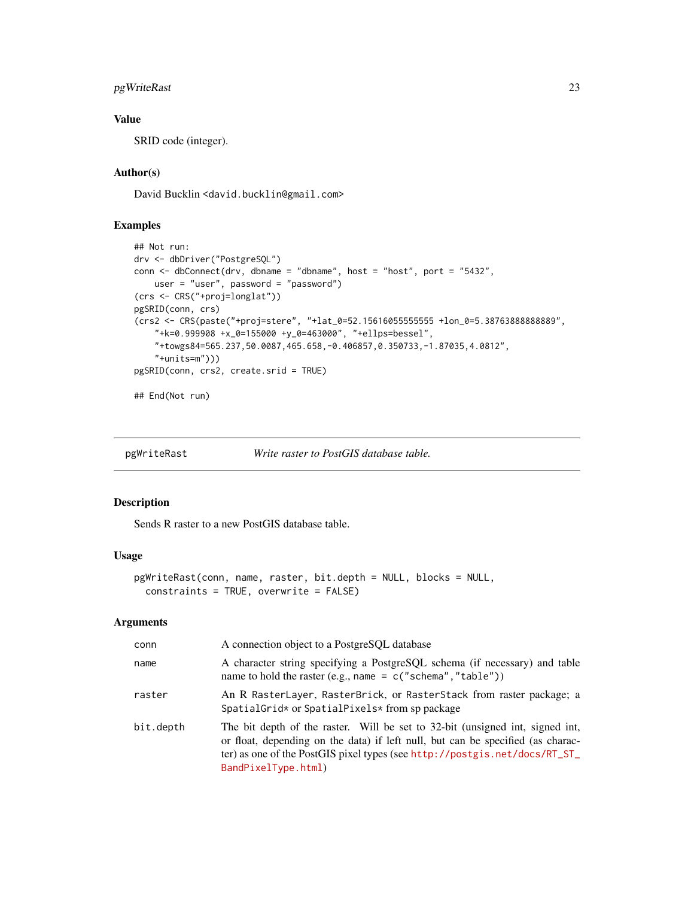## <span id="page-22-0"></span>pgWriteRast 23

## Value

SRID code (integer).

## Author(s)

David Bucklin <david.bucklin@gmail.com>

## Examples

```
## Not run:
drv <- dbDriver("PostgreSQL")
conn <- dbConnect(drv, dbname = "dbname", host = "host", port = "5432",
   user = "user", password = "password")
(crs <- CRS("+proj=longlat"))
pgSRID(conn, crs)
(crs2 <- CRS(paste("+proj=stere", "+lat_0=52.15616055555555 +lon_0=5.38763888888889",
    "+k=0.999908 +x_0=155000 +y_0=463000", "+ellps=bessel",
    "+towgs84=565.237,50.0087,465.658,-0.406857,0.350733,-1.87035,4.0812",
    "+units=m")))
pgSRID(conn, crs2, create.srid = TRUE)
## End(Not run)
```
pgWriteRast *Write raster to PostGIS database table.*

#### Description

Sends R raster to a new PostGIS database table.

## Usage

```
pgWriteRast(conn, name, raster, bit.depth = NULL, blocks = NULL,
  constraints = TRUE, overwrite = FALSE)
```

| conn      | A connection object to a PostgreSQL database                                                                                                                                                                                                                          |
|-----------|-----------------------------------------------------------------------------------------------------------------------------------------------------------------------------------------------------------------------------------------------------------------------|
| name      | A character string specifying a PostgreSQL schema (if necessary) and table<br>name to hold the raster (e.g., name = $c("schema", "table")$ )                                                                                                                          |
| raster    | An R RasterLayer, RasterBrick, or RasterStack from raster package; a<br>SpatialGrid* or SpatialPixels* from sp package                                                                                                                                                |
| bit.depth | The bit depth of the raster. Will be set to 32-bit (unsigned int, signed int,<br>or float, depending on the data) if left null, but can be specified (as charac-<br>ter) as one of the PostGIS pixel types (see http://postgis.net/docs/RT_ST_<br>BandPixelType.html) |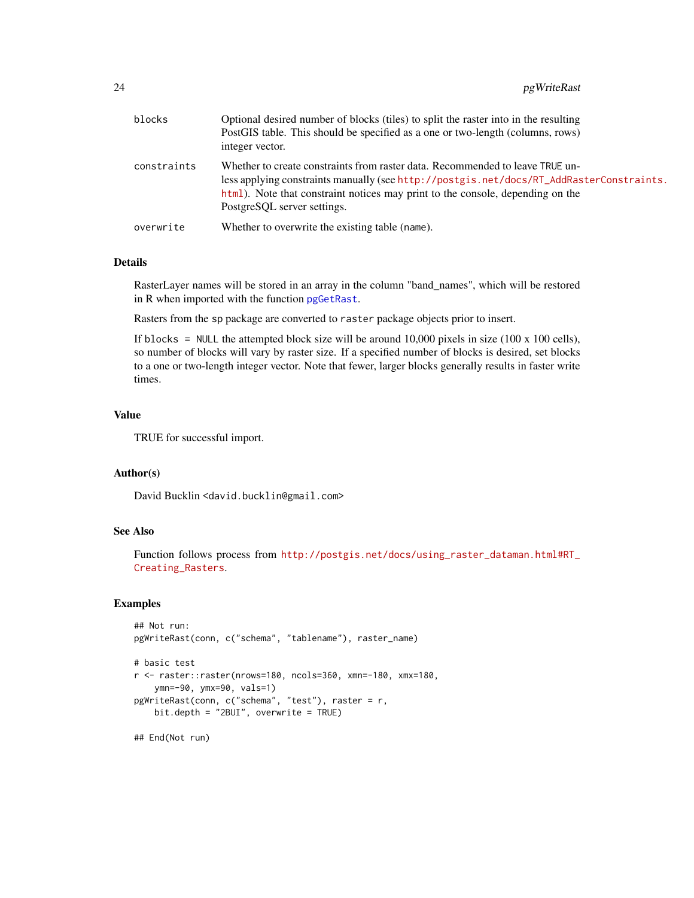<span id="page-23-0"></span>

| blocks      | Optional desired number of blocks (tiles) to split the raster into in the resulting<br>PostGIS table. This should be specified as a one or two-length (columns, rows)<br>integer vector.                                                                                                   |
|-------------|--------------------------------------------------------------------------------------------------------------------------------------------------------------------------------------------------------------------------------------------------------------------------------------------|
| constraints | Whether to create constraints from raster data. Recommended to leave TRUE un-<br>less applying constraints manually (see http://postgis.net/docs/RT_AddRasterConstraints.<br>html). Note that constraint notices may print to the console, depending on the<br>PostgreSOL server settings. |
| overwrite   | Whether to overwrite the existing table (name).                                                                                                                                                                                                                                            |

#### Details

RasterLayer names will be stored in an array in the column "band\_names", which will be restored in R when imported with the function [pgGetRast](#page-14-1).

Rasters from the sp package are converted to raster package objects prior to insert.

If blocks = NULL the attempted block size will be around  $10,000$  pixels in size (100 x 100 cells), so number of blocks will vary by raster size. If a specified number of blocks is desired, set blocks to a one or two-length integer vector. Note that fewer, larger blocks generally results in faster write times.

## Value

TRUE for successful import.

## Author(s)

David Bucklin <david.bucklin@gmail.com>

## See Also

Function follows process from [http://postgis.net/docs/using\\_raster\\_dataman.html#RT\\_](http://postgis.net/docs/using_raster_dataman.html#RT_Creating_Rasters) [Creating\\_Rasters](http://postgis.net/docs/using_raster_dataman.html#RT_Creating_Rasters).

#### Examples

```
## Not run:
pgWriteRast(conn, c("schema", "tablename"), raster_name)
# basic test
r <- raster::raster(nrows=180, ncols=360, xmn=-180, xmx=180,
    ymn=-90, ymx=90, vals=1)
pgWriteRast(conn, c("schema", "test"), raster = r,
   bit.depth = "2BUI", overwrite = TRUE)
```
## End(Not run)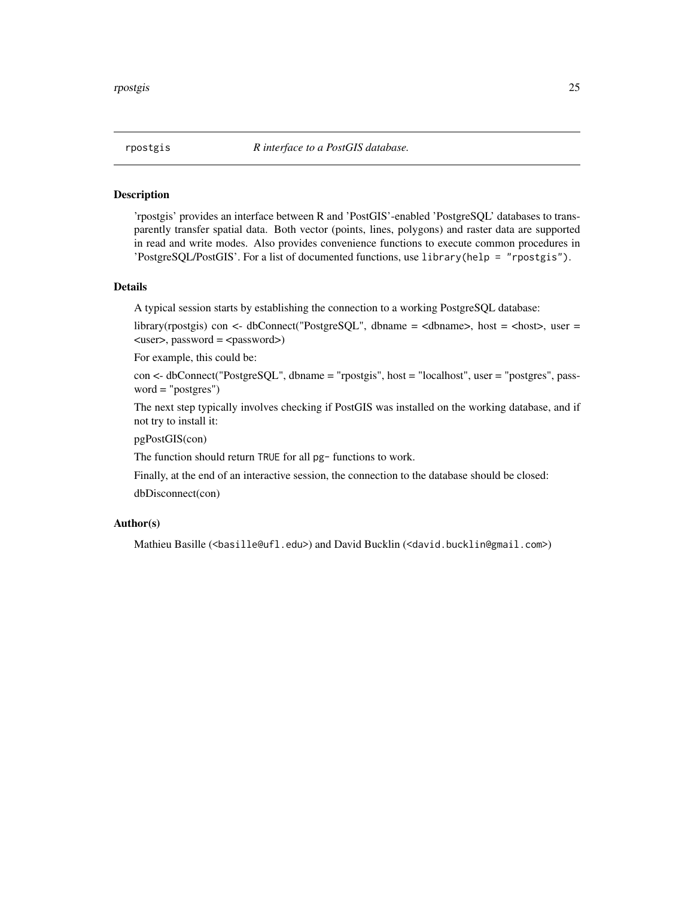<span id="page-24-0"></span>

#### Description

'rpostgis' provides an interface between R and 'PostGIS'-enabled 'PostgreSQL' databases to transparently transfer spatial data. Both vector (points, lines, polygons) and raster data are supported in read and write modes. Also provides convenience functions to execute common procedures in 'PostgreSQL/PostGIS'. For a list of documented functions, use library(help = "rpostgis").

#### Details

A typical session starts by establishing the connection to a working PostgreSQL database:

library(rpostgis) con  $\lt$ - dbConnect("PostgreSQL", dbname =  $\lt$ dbname>, host =  $\lt$ host>, user = <user>, password = <password>)

For example, this could be:

con <- dbConnect("PostgreSQL", dbname = "rpostgis", host = "localhost", user = "postgres", password = "postgres")

The next step typically involves checking if PostGIS was installed on the working database, and if not try to install it:

pgPostGIS(con)

The function should return TRUE for all pg- functions to work.

Finally, at the end of an interactive session, the connection to the database should be closed: dbDisconnect(con)

#### Author(s)

Mathieu Basille (<basille@ufl.edu>) and David Bucklin (<david.bucklin@gmail.com>)